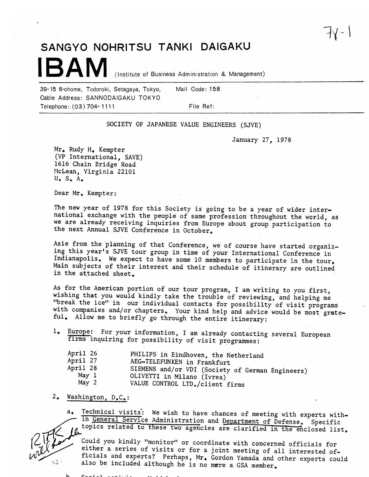## SANGYO NOHRITSU TANKI DAIGAKU

(Institute of Business Administration & Management)

39-15 6-chome, Todoroki, Setagaya, Tokyo, Cable Address: SANNODAIGAKU TOKYO Telephone: (03) 704-1111

File Ref:

Mail Code: 158

## SOCIETY OF JAPANESE VALUE ENGINEERS (SJVE)

January 27, 1978

Mr. Rudy H. Kempter (VP International, SAVE) 1616 Chain Bridge Road McLean, Virginia 22101  $U_{\bullet}$   $S_{\bullet}$   $A_{\bullet}$ 

Dear Mr. Kempter:

The new year of 1978 for this Society is going to be a year of wider international exchange with the people of same profession throughout the world, as we are already receiving inquiries from Europe about group participation to the next Annual SJVE Conference in October.

Asie from the planning of that Conference, we of course have started organizing this year's SJVE tour group in time of your International Conference in Indianapolis. We expect to have some 10 members to participate in the tour. Main subjects of their interest and their schedule of itinerary are outlined in the attached sheet.

As for the American portion of our tour program, I am writing to you first, wishing that you would kindly take the trouble of reviewing, and helping me "break the ice" in our individual contacts for possibility of visit programs with companies and/or chapters. Your kind help and advice would be most grateful. Allow me to briefly go through the entire itinerary:

1. Europe: For your information, I am already contacting several European firms inquiring for possibility of visit programmes:

| April 26 | PHILIPS in Eindhoven, the Netherland             |
|----------|--------------------------------------------------|
| April 27 | AEG-TELEFUNKEN in Frankfurt                      |
| April 28 | SIEMENS and/or VDI (Society of German Engineers) |
| May 1    | OLIVETTI in Milano (Ivrea)                       |
| May 2    | VALUE CONTROL LTD./client firms                  |

 $2_{\bullet}$ Washington, D.C.:

al c

Technical visits: We wish to have chances of meeting with experts within General Service Administration and Department of Defense. Specific topics related to these two agencies are clarified in the enclosed list. Could you kindly "monitor" or coordinate with concerned officials for

either a series of visits or for a joint meeting of all interested officials and experts? Perhaps, Mr. Gordon Yamada and other experts could also be included although he is no more a GSA member.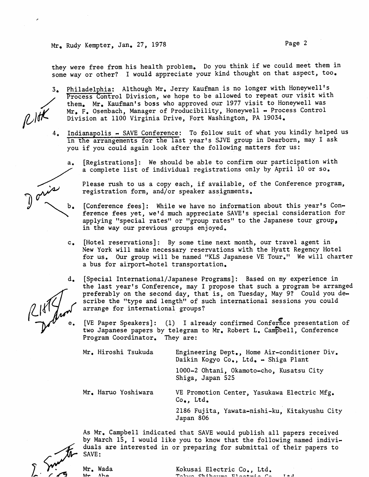they were free from his health problem. Do you think if we could meet them in some way or other? I would appreciate your kind thought on that aspect, too.

- **3.** Philadelphia: Although Mr. Jerry Kaufman is no longer with Honeywell's Process Control Division, we hope to be allowed to repeat our visit with them. Mr, Kaufman's boss who approved our 1977 visit to Honeywell was Mr. F. Osenbach, Manager of Producibility, Honeywell - Process Control Division at 1100 Virginia Drive, Fort Washington, PA 19034.
- Indianapolis SAVE Conference: To follow suit of what you kindly helped us in the arrangements for the last year's SJVE group in Dearborn, may I ask you if you could again look after the following matters for us:
	- [Registrations]: We should be able to confirm our participation with  $\overline{a}$ . a complete list of individual registrations only by April 10 or so.

Please rush to us a copy each, if available, of the Conference program, registration form, and/or speaker assignments.

- b. [Conference fees]: While we have no information about this year's Conference fees yet, we'd much appreciate SAVE'S special consideration for applying "special rates" or "group rates" to the Japanese tour group, in the way our previous groups enjoyed.
- $c_{\bullet}$ [Hotel reservations]: By some time next month, our travel agent in New York will make necessary reservations with the Hyatt Regency Hotel for us. Our group will be named "KLS Japanese VE Tour.'! We will charter a bus for airport-hotel transportation.
- $d_{\bullet}$ [Special International/Japanese Programs]: Based on my experience in the last year's Conference, may I propose that such a program be arranged preferably on the second day, that is, on Tuesday, May 9? Could you describe the "type and length" of such international sessions you could arrange for international groups?
	- [VE Paper Speakers]: (1) I already confirmed Confernce presentation of two Japanese papers by telegram to Mr. Robert L. Campbell, Conference Program Coordinator. They are:

| Mr. Hiroshi Tsukuda | Engineering Dept., Home Air-conditioner Div.<br>Daikin Kogyo Co., Ltd. - Shiga Plant |
|---------------------|--------------------------------------------------------------------------------------|
|                     | 1000-2 Ohtani, Okamoto-cho, Kusatsu City<br>Shiga, Japan 525                         |
| Mr. Haruo Yoshiwara | VE Promotion Center, Yasukawa Electric Mfg.<br>$Co_{\bullet}$ , Ltd.                 |

2186 Fujita, Yawata-nishi-ku, Kitakyushu City Japan 806

As Mr. Campbell indicated that SAVE would publish all papers received by March 15, I would like you to know that the following named individuals are interested in or preparing for submittal of their papers to SAVE :

Mr. Wada **Mr Ahe** 

Kokusai Electric Co,, Ltd. **Takin Chihaman Elantuin /**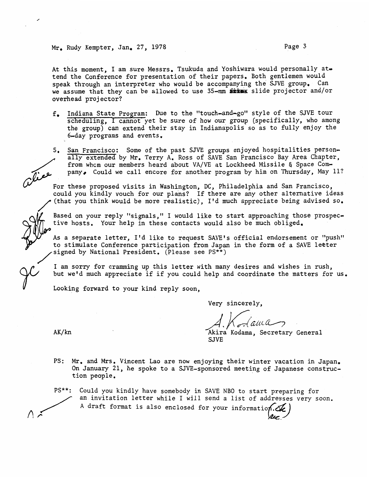Mr. Rudy Kempter, Jan. **27,** 1978 Page **3** 

At this moment. I am sure Messrs. Tsukuda and Yoshiwara would personally at. tend the Conference for presentation of their papers, Both gentlemen would speak through an interpreter who would be accompanying the SJVE group. Can we assume that they can be allowed to use 35-mm **SIMM** slide projector and/or overhead projector?

- **f.** Indiana State Program: Due to the "touch-and-go" style of the SJVE tour scheduling, I cannot yet be sure of how our group (specifically, who among the group) can extend their stay in Indianapolis so as to fully enjoy the 6-day programs and events.
- 5. San Francisco: Some of the past SJVE groups enjoyed hospitalities personally extended by Mr. Terry A. Ross of SAVE San Francisco Bay Area Chapter, from whcrn our members heard about VA/VE at Lockheed Missile **6** Space Company. Could we call encore for another program by him on Thursday, May 11?

For these could you kindly vouch for our plans? If there are any other alternative ideas For these<br>For these<br>could you<br>(that you<br>Based on y proposed visits in Washington, **DC,** Philadelphia and San Francisco, think would be more realistic), I'd much appreciate being advised so.

Based on your reply "signals," I would like to start approaching those prospective hosts. Your help in these contacts would also be much obliged.

As a separate letter, I'd like to request SAVE's official endorsement or "push" to stimulate Conference participation from Japan in the form of a SAVE leeter As a separate letter, I'd like to request SAVE's<br>to stimulate Conference participation from Japan<br>signed by National President. (Please see PS\*\*)

I am sorry for cramming up this letter with many desires and wishes in rush, but we'd much appreciate if if you could help and coordinate the matters for us.

Looking forward to your kind reply soon,

Very sincerely,

A. Rodama

Akira Kodama, Secretary General SJVE

 $AK/kn$ 

 $\wedge$ 

PS: Mr. and Mrs. Vincent Lao are now enjoying their winter vacation in Japan. On January 21, he spoke to a SJVE-sponsored meeting of Japanese construction people.

PS\*\*: Could you kindly have somebody in SAVE NBO to start preparing for an invitation letter while I will send a list of addresses very soon.<br>A draft format is also enclosed for your information. PS: Mr. and Mrs. Vincent Lao are now enjoying their winter<br>On January 21, he spoke to a SJVE-sponsored meeting of<br>tion people.<br>PS\*\*: Could you kindly have somebody in SAVE NBO to start<br>an invitation letter while I will sen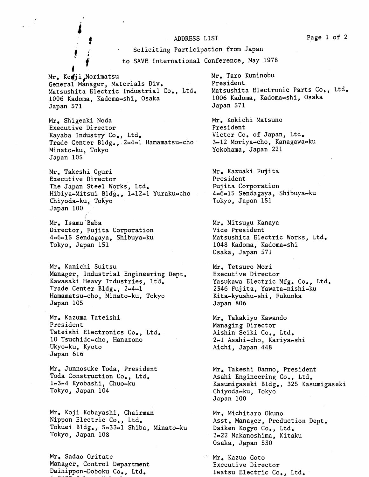Soliciting Participation from Japan<br>to SAVE International Conference, May 1978

**Mr. Kedji,Norimatsu** General Manager, Materials Div. Matsushita Electric Industrial Co., Ltd, 1006 Kadoma, Kadoma-shi, Osaka Japan 571

**i** 

\*

Mr. Shigeaki Noda Executive Director Kayaba Industry Co,, Ltd. Trade Center Bldg., 2-4-1 Hamamatsu-cho Minato-ku, Tokyo Japan 105

Mr. Takeshi Oguri Executive Director The Japan Steel Works, Ltd. Hibiya-Mitsui Bldg., 1-12-1 Yuraku-cho Chiyoda-ku, Tokyo Japan 100

Mr. Isamu Baba Director, Fujita Corporation 4-6-15 Sendagaya, Shibuya-ku Tokyo, Japan 151

Mr. Kanichi Suitsu Manager, Industrial Engineering Dept. Kawasaki Heavy Industries, Ltd. Trade Center Bldg,, 2~4-1 Hamamatsu-cho, Minato-ku, Tokyo Japan 105

Mr. Kazuma Tateishi President Tateishi Electronics Co,, Ltd. 10 Tsuchido-cho , Hanazono Ukyo-ku, Kyoto Japan 616

Mr. Junnosuke Toda, President Toda Construction Co., Ltd. 1-3-4 Kyobashi, Chuo-ku Tokyo, Japan 104

Mr. Koji Kobayashi, Chairman Nippon Electric Co., Ltd. Tokuei Bldg., 5-33-1 Shiba, Minato-ku Tokyo, Japan 108

Mr. Sadao Oritate Manager, Control Department Dainippon-Doboku Co., Ltd.

Mr, Taro Kuninobu President Matsushita Electronic Parts Co., Ltd. 1006 Kadoma, Kadoma-shi, Osaka Japan 571

Mr. Kokichi Matsuno President Victor Co. of Japan, Ltd. 3-12 Moriya-cho, Kanagawa-ku Yokohama, Japan 221

Mr. Kazuaki Fujita President Fuj ita Corporation 4-6-15 Sendagaya, Shibuya-ku Tokyo, Japan 151

Mr. Mitsugu Kanaya Vice President Matsushita Electric Works, Ltd. 1048 Kadoma, Kadoma-shi Osaka, Japan 571

Mr. Tetsuro Mori Executive Director Yasukawa Electric Mfg. Co., Ltd. 2346 Fujita, Yawata-nishi-ku Kita-kyushu-shi, Fukuoka Japan 806

Mr, Takakiyo Kawando Managing Director Aishin Seiki Co., Ltd. 2-1 Asahi-cho, Kariya-shi Aichi, Japan 448

Mr. Takeshi Danno, President Asahi Engineering Co., Ltd. Kasumigaseki Bldg., 325 Kasumigaseki Chiyoda-ku, Tokyo Japan 100

Mr. Michitaro Okuno Asst. Manager, Production Dept . Daiken Kogyo Co., Ltd, 2-22 Nakanoshima, Kitaku Osaka, Japan 530

Mr.' Kazuo Goto Executive Director Iwatsu Electric Co., Ltd.